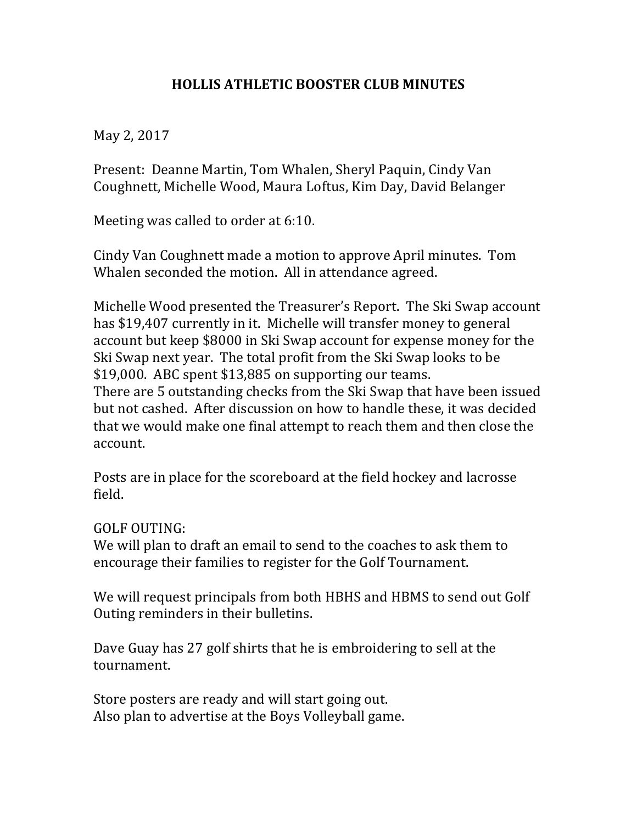## **HOLLIS ATHLETIC BOOSTER CLUB MINUTES**

May 2, 2017

Present: Deanne Martin, Tom Whalen, Sheryl Paquin, Cindy Van Coughnett, Michelle Wood, Maura Loftus, Kim Day, David Belanger

Meeting was called to order at  $6:10$ .

Cindy Van Coughnett made a motion to approve April minutes. Tom Whalen seconded the motion. All in attendance agreed.

Michelle Wood presented the Treasurer's Report. The Ski Swap account has \$19,407 currently in it. Michelle will transfer money to general account but keep \$8000 in Ski Swap account for expense money for the Ski Swap next year. The total profit from the Ski Swap looks to be  $$19,000$ . ABC spent  $$13,885$  on supporting our teams. There are 5 outstanding checks from the Ski Swap that have been issued but not cashed. After discussion on how to handle these, it was decided that we would make one final attempt to reach them and then close the account.

Posts are in place for the scoreboard at the field hockey and lacrosse field.

GOLF OUTING:

We will plan to draft an email to send to the coaches to ask them to encourage their families to register for the Golf Tournament.

We will request principals from both HBHS and HBMS to send out Golf Outing reminders in their bulletins.

Dave Guay has 27 golf shirts that he is embroidering to sell at the tournament.

Store posters are ready and will start going out. Also plan to advertise at the Boys Volleyball game.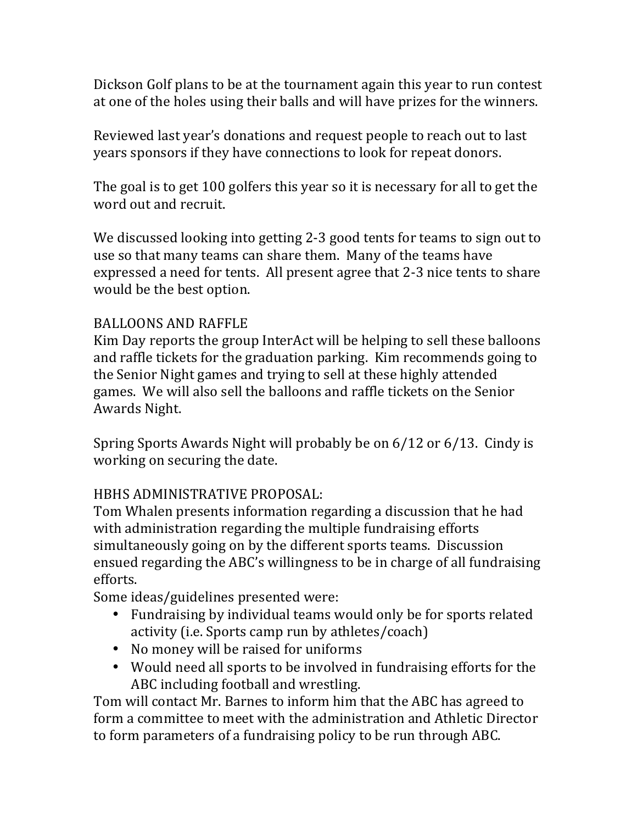Dickson Golf plans to be at the tournament again this year to run contest at one of the holes using their balls and will have prizes for the winners.

Reviewed last year's donations and request people to reach out to last years sponsors if they have connections to look for repeat donors.

The goal is to get 100 golfers this year so it is necessary for all to get the word out and recruit.

We discussed looking into getting 2-3 good tents for teams to sign out to use so that many teams can share them. Many of the teams have expressed a need for tents. All present agree that 2-3 nice tents to share would be the best option.

## BALLOONS AND RAFFLE

Kim Day reports the group InterAct will be helping to sell these balloons and raffle tickets for the graduation parking. Kim recommends going to the Senior Night games and trying to sell at these highly attended games. We will also sell the balloons and raffle tickets on the Senior Awards Night.

Spring Sports Awards Night will probably be on  $6/12$  or  $6/13$ . Cindy is working on securing the date.

## HBHS ADMINISTRATIVE PROPOSAL:

Tom Whalen presents information regarding a discussion that he had with administration regarding the multiple fundraising efforts simultaneously going on by the different sports teams. Discussion ensued regarding the ABC's willingness to be in charge of all fundraising efforts.

Some ideas/guidelines presented were:

- Fundraising by individual teams would only be for sports related activity (i.e. Sports camp run by athletes/coach)
- No money will be raised for uniforms
- Would need all sports to be involved in fundraising efforts for the ABC including football and wrestling.

Tom will contact Mr. Barnes to inform him that the ABC has agreed to form a committee to meet with the administration and Athletic Director to form parameters of a fundraising policy to be run through ABC.